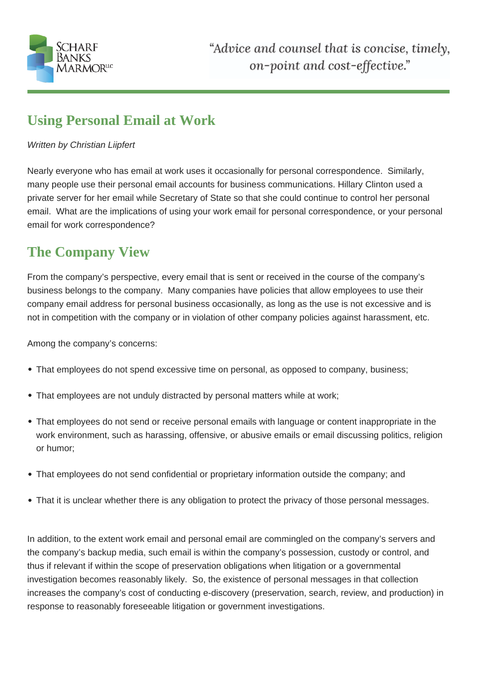

## **Using Personal Email at Work**

## Written by Christian Liipfert

Nearly everyone who has email at work uses it occasionally for personal correspondence. Similarly, many people use their personal email accounts for business communications. Hillary Clinton used a private server for her email while Secretary of State so that she could continue to control her personal email. What are the implications of using your work email for personal correspondence, or your personal email for work correspondence?

## **The Company View**

From the company's perspective, every email that is sent or received in the course of the company's business belongs to the company. Many companies have policies that allow employees to use their company email address for personal business occasionally, as long as the use is not excessive and is not in competition with the company or in violation of other company policies against harassment, etc.

Among the company's concerns:

- That employees do not spend excessive time on personal, as opposed to company, business;
- That employees are not unduly distracted by personal matters while at work;
- That employees do not send or receive personal emails with language or content inappropriate in the work environment, such as harassing, offensive, or abusive emails or email discussing politics, religion or humor;
- That employees do not send confidential or proprietary information outside the company; and
- That it is unclear whether there is any obligation to protect the privacy of those personal messages.

In addition, to the extent work email and personal email are commingled on the company's servers and the company's backup media, such email is within the company's possession, custody or control, and thus if relevant if within the scope of preservation obligations when litigation or a governmental investigation becomes reasonably likely. So, the existence of personal messages in that collection increases the company's cost of conducting e-discovery (preservation, search, review, and production) in response to reasonably foreseeable litigation or government investigations.